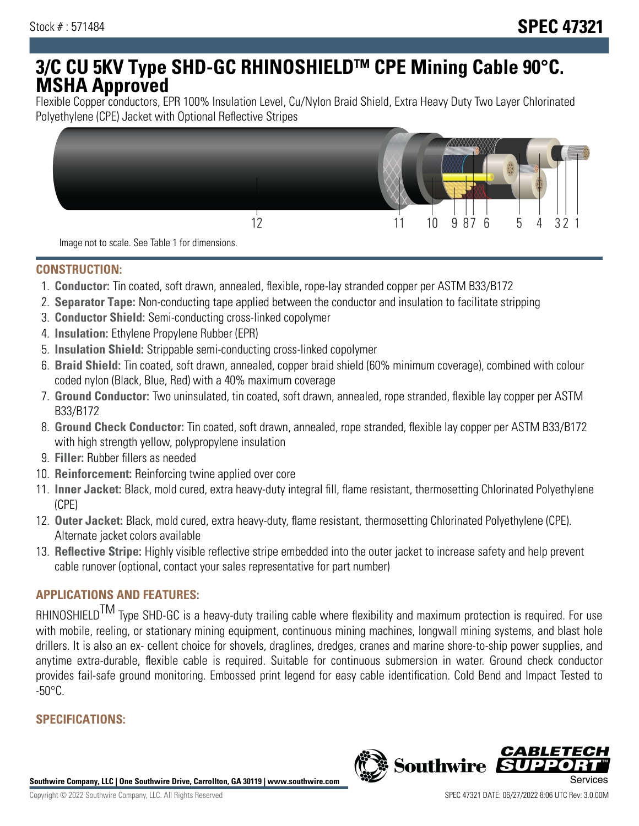# **3/C CU 5KV Type SHD-GC RHINOSHIELDTM CPE Mining Cable 90°C. MSHA Approved**

Flexible Copper conductors, EPR 100% Insulation Level, Cu/Nylon Braid Shield, Extra Heavy Duty Two Layer Chlorinated Polyethylene (CPE) Jacket with Optional Reflective Stripes



Image not to scale. See Table 1 for dimensions.

#### **CONSTRUCTION:**

- 1. **Conductor:** Tin coated, soft drawn, annealed, flexible, rope-lay stranded copper per ASTM B33/B172
- 2. **Separator Tape:** Non-conducting tape applied between the conductor and insulation to facilitate stripping
- 3. **Conductor Shield:** Semi-conducting cross-linked copolymer
- 4. **Insulation:** Ethylene Propylene Rubber (EPR)
- 5. **Insulation Shield:** Strippable semi-conducting cross-linked copolymer
- 6. **Braid Shield:** Tin coated, soft drawn, annealed, copper braid shield (60% minimum coverage), combined with colour coded nylon (Black, Blue, Red) with a 40% maximum coverage
- 7. **Ground Conductor:** Two uninsulated, tin coated, soft drawn, annealed, rope stranded, flexible lay copper per ASTM B33/B172
- 8. **Ground Check Conductor:** Tin coated, soft drawn, annealed, rope stranded, flexible lay copper per ASTM B33/B172 with high strength yellow, polypropylene insulation
- 9. **Filler:** Rubber fillers as needed
- 10. **Reinforcement:** Reinforcing twine applied over core
- 11. **Inner Jacket:** Black, mold cured, extra heavy-duty integral fill, flame resistant, thermosetting Chlorinated Polyethylene (CPE)
- 12. **Outer Jacket:** Black, mold cured, extra heavy-duty, flame resistant, thermosetting Chlorinated Polyethylene (CPE). Alternate jacket colors available
- 13. **Reflective Stripe:** Highly visible reflective stripe embedded into the outer jacket to increase safety and help prevent cable runover (optional, contact your sales representative for part number)

## **APPLICATIONS AND FEATURES:**

RHINOSHIELD<sup>TM</sup> Type SHD-GC is a heavy-duty trailing cable where flexibility and maximum protection is required. For use with mobile, reeling, or stationary mining equipment, continuous mining machines, longwall mining systems, and blast hole drillers. It is also an ex- cellent choice for shovels, draglines, dredges, cranes and marine shore-to-ship power supplies, and anytime extra-durable, flexible cable is required. Suitable for continuous submersion in water. Ground check conductor provides fail-safe ground monitoring. Embossed print legend for easy cable identification. Cold Bend and Impact Tested to  $-50^{\circ}$ C.

### **SPECIFICATIONS:**

**Southwire Company, LLC | One Southwire Drive, Carrollton, GA 30119 | www.southwire.com**

**Southwire** 

*CABL*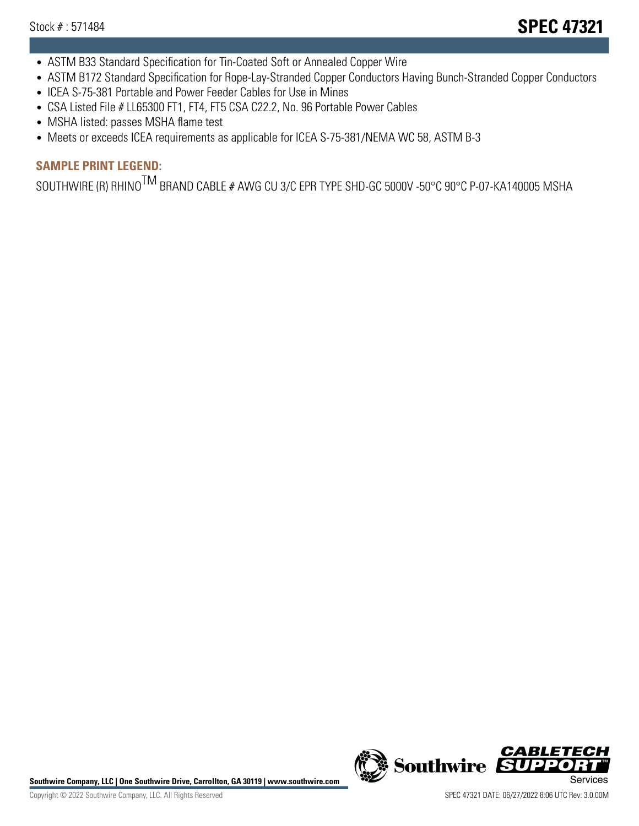- ASTM B33 Standard Specification for Tin-Coated Soft or Annealed Copper Wire
- ASTM B172 Standard Specification for Rope-Lay-Stranded Copper Conductors Having Bunch-Stranded Copper Conductors
- ICEA S-75-381 Portable and Power Feeder Cables for Use in Mines
- CSA Listed File # LL65300 FT1, FT4, FT5 CSA C22.2, No. 96 Portable Power Cables
- MSHA listed: passes MSHA flame test
- Meets or exceeds ICEA requirements as applicable for ICEA S-75-381/NEMA WC 58, ASTM B-3

# **SAMPLE PRINT LEGEND:**

SOUTHWIRE (R) RHINO<sup>TM</sup> BRAND CABLE # AWG CU 3/C EPR TYPE SHD-GC 5000V -50°C 90°C P-07-KA140005 MSHA

Southwire Company, LLC | One Southwire Drive, Carrollton, GA 30119 | www.southwire.com **Second Company, COVID Services** 



CABL